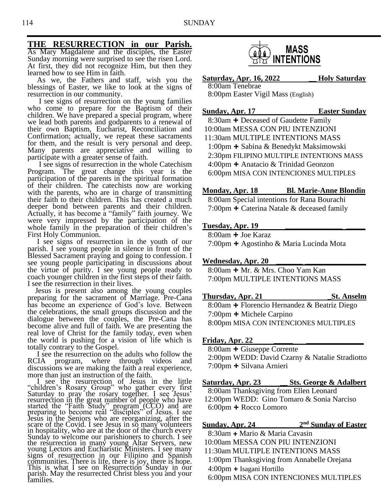# **THE RESURRECTION in our Parish.**

As Mary Magdalene and the disciples, the Easter Sunday morning were surprised to see the risen Lord. At first, they did not recognize Him, but then they learned how to see Him in faith.

 As we, the Fathers and staff, wish you the blessings of Easter, we like to look at the signs of resurrection in our community.

 I see signs of resurrection on the young families who come to prepare for the Baptism of their children. We have prepared a special program, where we lead both parents and godparents to a renewal of their own Baptism, Eucharist, Reconciliation and Confirmation; actually, we repeat these sacraments for them, and the result is very personal and deep. Many parents are appreciative and willing to participate with a greater sense of faith.

I see signs of resurrection in the whole Catechism Program. The great change this year is the participation of the parents in the spiritual formation of their children. The catechists now are working with the parents, who are in charge of transmitting their faith to their children. This has created a much deeper bond between parents and their children. Actually, it has become a "family" faith journey. We were very impressed by the participation of the whole family in the preparation of their children's First Holy Communion.

 I see signs of resurrection in the youth of our parish. I see young people in silence in front of the Blessed Sacrament praying and going to confession. I see young people participating in discussions about the virtue of purity. I see young people ready to coach younger children in the first steps of their faith. I see the resurrection in their lives.

 Jesus is present also among the young couples preparing for the sacrament of Marriage. Pre-Cana has become an experience of God's love. Between the celebrations, the small groups discussion and the dialogue between the couples, the Pre-Cana has become alive and full of faith. We are presenting the real love of Christ for the family today, even when the world is pushing for a vision of life which is totally contrary to the Gospel.

 I see the resurrection on the adults who follow the RCIA program, where through videos and discussions we are making the faith a real experience, more than just an instruction of the faith.

 I see the resurrection of Jesus in the little "children's Rosary Group" who gather every first Saturday to pray the rosary together. I see Jesus' resurrection in the great number of people who have started the "Faith Study" program (CCO) and are preparing to become real "disciples" of Jesus. I see Jesus in the Seniors who are reorganizing, after the scare of the Covid. I see Jesus in so many volunteers in hospitality, who are at the door of the church every Sunday to welcome our parishioners to church. I see the resurrection in many young Altar Servers, new young Lectors and Eucharistic Ministers. I see many signs of resurrection in our Filipino and Spanish communities. There is life, there is joy, there is hope. This is what I see on Resurrection Sunday in our parish. May the resurrected Christ bless you and your families.



**Saturday, Apr. 16, 2022 \_\_ Holy Saturday** 8:00am Tenebrae 8:00pm Easter Vigil Mass (English)

**Sunday, Apr. 17 Easter Sunday**

8:30am **+** Deceased of Gaudette Family 10:00am MESSA CON PIU INTENZIONI 11:30am MULTIPLE INTENTIONS MASS 1:00pm **+** Sabina & Benedykt Maksimowski 2:30pm FILIPINO MULTIPLE INTENTIONS MASS 4:00pm **+** Anatacio & Trinidad Geonzon 6:00pm MISA CON INTENCIONES MULTIPLES

#### **Monday, Apr. 18 Bl. Marie-Anne Blondin**

8:00am Special intentions for Rana Bourachi 7:00pm **+** Caterina Natale & deceased family

#### **Tuesday, Apr. 19 \_\_\_\_\_\_\_\_\_\_\_\_\_\_\_ \_\_\_\_\_**

8:00am **+** Joe Karaz 7:00pm **+** Agostinho & Maria Lucinda Mota

#### **Wednesday, Apr. 20 \_\_\_\_\_\_\_ \_\_\_\_\_\_\_\_\_\_\_\_\_\_\_\_**

8:00am **+** Mr. & Mrs. Choo Yam Kan 7:00pm MULTIPLE INTENTIONS MASS

### **Thursday, Apr. 21 \_St. Anselm**

 8:00am **+** Florencio Hernandez & Beatriz Diego 7:00pm **+** Michele Carpino 8:00pm MISA CON INTENCIONES MULTIPLES

#### **Friday, Apr. 22 \_\_\_\_\_ \_\_\_\_\_\_\_\_\_\_\_\_\_\_\_**

8:00am **+** Giuseppe Corrente 2:00pm WEDD: David Czarny & Natalie Stradiotto 7:00pm **+** Silvana Arnieri

#### **Saturday, Apr. 23 \_\_ Sts. George & Adalbert** 8:00am Thanksgiving from Ellen Leonard 12:00pm WEDD: Gino Tomaro & Sonia Narciso 6:00pm **+** Rocco Lomoro

### **Sunday, Apr. 24** 2<sup>nd</sup> Sunday of Easter

- 8:30am **+** Mario & Maria Cavasin
- 10:00am MESSA CON PIU INTENZIONI
- 11:30am MULTIPLE INTENTIONS MASS
- 1:00pm Thanksgiving from Annabelle Orejana
- 4:00pm **+** Isagani Hortillo
- 6:00pm MISA CON INTENCIONES MULTIPLES